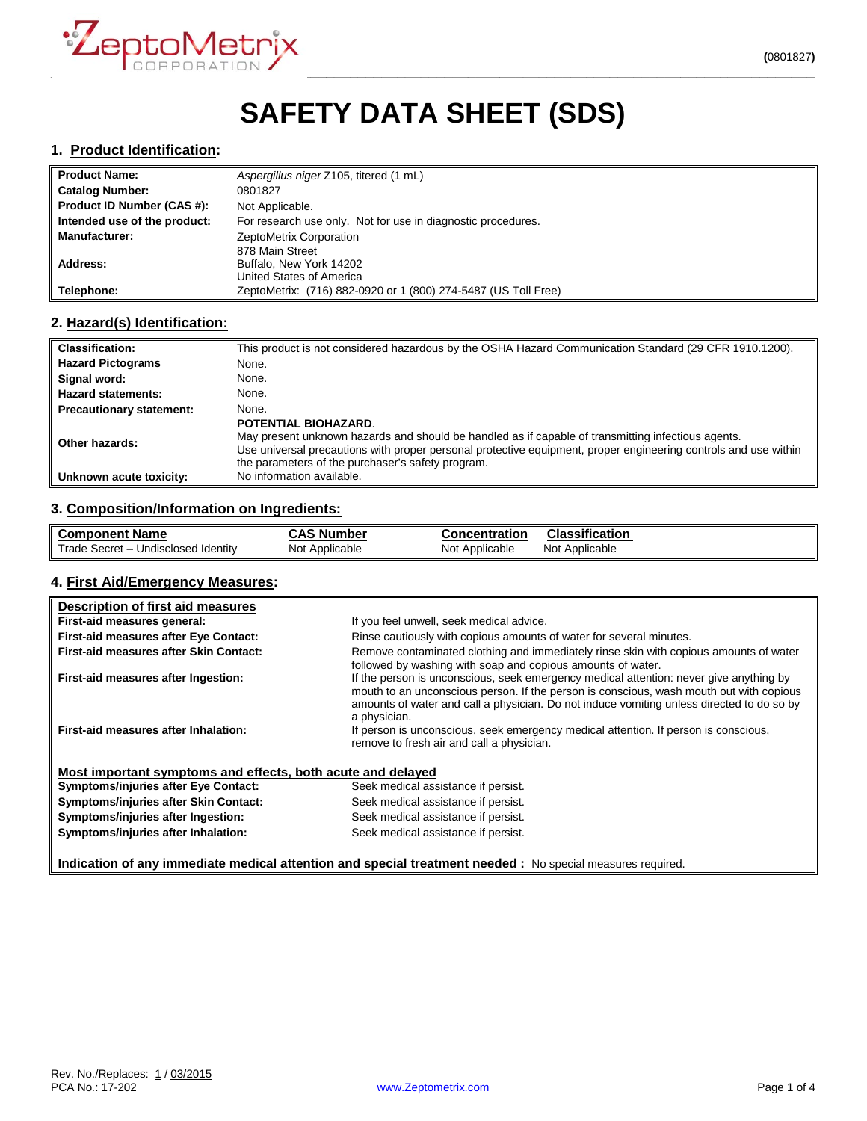

# **SAFETY DATA SHEET (SDS)**

### **1. Product Identification:**

| ll Product Name:             | Aspergillus niger Z105, titered (1 mL)                         |
|------------------------------|----------------------------------------------------------------|
| Catalog Number:              | 0801827                                                        |
| Product ID Number (CAS #):   | Not Applicable.                                                |
| Intended use of the product: | For research use only. Not for use in diagnostic procedures.   |
| Manufacturer:                | ZeptoMetrix Corporation                                        |
|                              | 878 Main Street                                                |
| Address:                     | Buffalo, New York 14202                                        |
|                              | United States of America                                       |
| Telephone:                   | ZeptoMetrix: (716) 882-0920 or 1 (800) 274-5487 (US Toll Free) |

## **2. Hazard(s) Identification:**

| <b>Classification:</b>          | This product is not considered hazardous by the OSHA Hazard Communication Standard (29 CFR 1910.1200).                                                                                                                                                                                             |
|---------------------------------|----------------------------------------------------------------------------------------------------------------------------------------------------------------------------------------------------------------------------------------------------------------------------------------------------|
| <b>Hazard Pictograms</b>        | None.                                                                                                                                                                                                                                                                                              |
| Signal word:                    | None.                                                                                                                                                                                                                                                                                              |
| <b>Hazard statements:</b>       | None.                                                                                                                                                                                                                                                                                              |
| <b>Precautionary statement:</b> | None.                                                                                                                                                                                                                                                                                              |
| Other hazards:                  | POTENTIAL BIOHAZARD.<br>May present unknown hazards and should be handled as if capable of transmitting infectious agents.<br>Use universal precautions with proper personal protective equipment, proper engineering controls and use within<br>the parameters of the purchaser's safety program. |
| Unknown acute toxicity:         | No information available.                                                                                                                                                                                                                                                                          |

## **3. Composition/Information on Ingredients:**

| ll Component Name                   | . Number<br>CAS | <b>Concentration</b> | <b>Classification</b> |
|-------------------------------------|-----------------|----------------------|-----------------------|
| Trade Secret – Undisclosed Identity | Not             | Not                  | Not                   |
|                                     | Applicable      | Applicable           | Applicable            |

#### **4. First Aid/Emergency Measures:**

| Description of first aid measures                                                                          |                                                                                                                                                                                                                                                                                                |  |
|------------------------------------------------------------------------------------------------------------|------------------------------------------------------------------------------------------------------------------------------------------------------------------------------------------------------------------------------------------------------------------------------------------------|--|
| First-aid measures general:                                                                                | If you feel unwell, seek medical advice.                                                                                                                                                                                                                                                       |  |
| <b>First-aid measures after Eye Contact:</b>                                                               | Rinse cautiously with copious amounts of water for several minutes.                                                                                                                                                                                                                            |  |
| <b>First-aid measures after Skin Contact:</b>                                                              | Remove contaminated clothing and immediately rinse skin with copious amounts of water<br>followed by washing with soap and copious amounts of water.                                                                                                                                           |  |
| First-aid measures after Ingestion:                                                                        | If the person is unconscious, seek emergency medical attention: never give anything by<br>mouth to an unconscious person. If the person is conscious, wash mouth out with copious<br>amounts of water and call a physician. Do not induce vomiting unless directed to do so by<br>a physician. |  |
| First-aid measures after Inhalation:                                                                       | If person is unconscious, seek emergency medical attention. If person is conscious,<br>remove to fresh air and call a physician.                                                                                                                                                               |  |
| Most important symptoms and effects, both acute and delayed                                                |                                                                                                                                                                                                                                                                                                |  |
| Symptoms/injuries after Eye Contact:                                                                       | Seek medical assistance if persist.                                                                                                                                                                                                                                                            |  |
| Symptoms/injuries after Skin Contact:                                                                      | Seek medical assistance if persist.                                                                                                                                                                                                                                                            |  |
| Symptoms/injuries after Ingestion:                                                                         | Seek medical assistance if persist.                                                                                                                                                                                                                                                            |  |
| Symptoms/injuries after Inhalation:                                                                        | Seek medical assistance if persist.                                                                                                                                                                                                                                                            |  |
| Indication of any immediate medical attention and special treatment needed : No special measures required. |                                                                                                                                                                                                                                                                                                |  |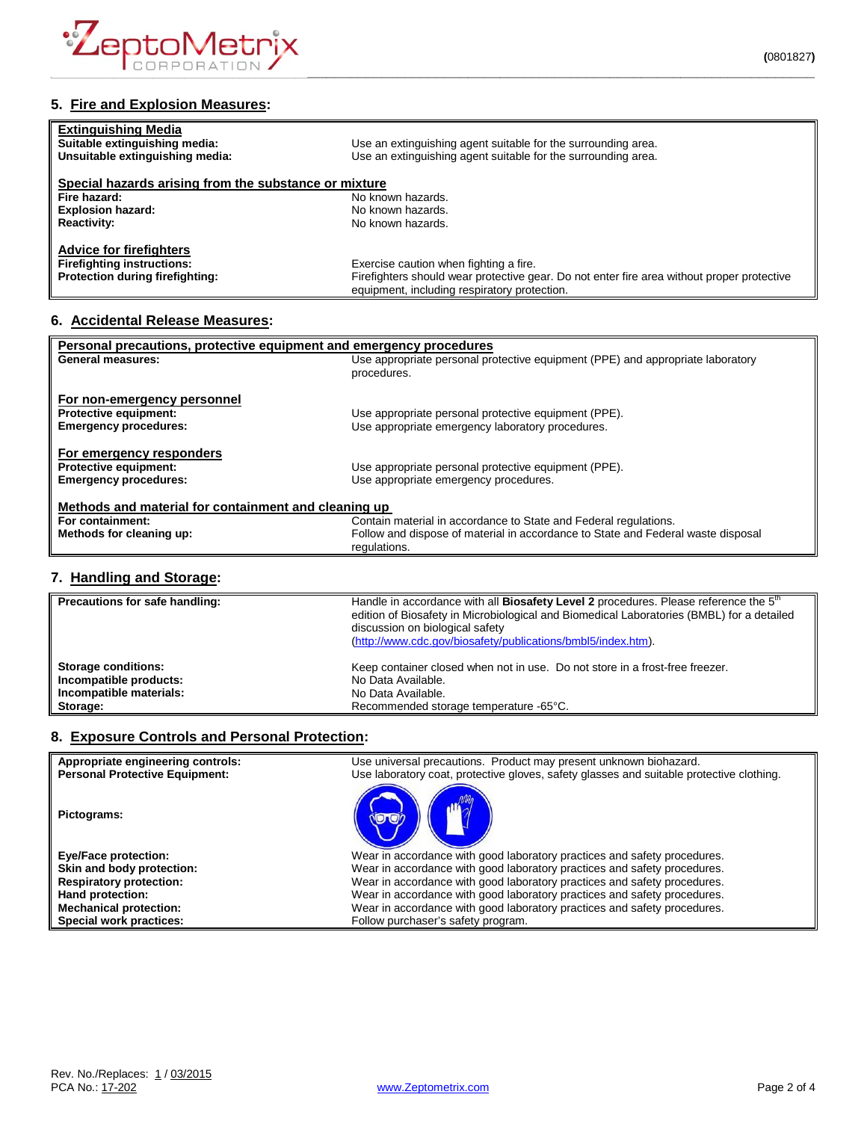

## **5. Fire and Explosion Measures:**

| <b>Extinguishing Media</b><br>Suitable extinguishing media:<br>Unsuitable extinguishing media: | Use an extinguishing agent suitable for the surrounding area.<br>Use an extinguishing agent suitable for the surrounding area. |
|------------------------------------------------------------------------------------------------|--------------------------------------------------------------------------------------------------------------------------------|
| Special hazards arising from the substance or mixture                                          |                                                                                                                                |
| Fire hazard:                                                                                   | No known hazards.                                                                                                              |
| <b>Explosion hazard:</b>                                                                       | No known hazards.                                                                                                              |
| <b>Reactivity:</b>                                                                             | No known hazards.                                                                                                              |
| <b>Advice for firefighters</b>                                                                 |                                                                                                                                |
| <b>Firefighting instructions:</b>                                                              | Exercise caution when fighting a fire.                                                                                         |
| Protection during firefighting:                                                                | Firefighters should wear protective gear. Do not enter fire area without proper protective                                     |
|                                                                                                | equipment, including respiratory protection.                                                                                   |

# **6. Accidental Release Measures:**

| Personal precautions, protective equipment and emergency procedures |                                                                                  |  |
|---------------------------------------------------------------------|----------------------------------------------------------------------------------|--|
| General measures:                                                   | Use appropriate personal protective equipment (PPE) and appropriate laboratory   |  |
|                                                                     | procedures.                                                                      |  |
|                                                                     |                                                                                  |  |
| For non-emergency personnel                                         |                                                                                  |  |
| <b>Protective equipment:</b>                                        | Use appropriate personal protective equipment (PPE).                             |  |
| <b>Emergency procedures:</b>                                        | Use appropriate emergency laboratory procedures.                                 |  |
|                                                                     |                                                                                  |  |
| For emergency responders                                            |                                                                                  |  |
| <b>Protective equipment:</b>                                        | Use appropriate personal protective equipment (PPE).                             |  |
| <b>Emergency procedures:</b>                                        | Use appropriate emergency procedures.                                            |  |
|                                                                     |                                                                                  |  |
| Methods and material for containment and cleaning up                |                                                                                  |  |
| For containment:                                                    | Contain material in accordance to State and Federal regulations.                 |  |
| Methods for cleaning up:                                            | Follow and dispose of material in accordance to State and Federal waste disposal |  |
|                                                                     | regulations.                                                                     |  |
|                                                                     |                                                                                  |  |

## **7. Handling and Storage:**

| Precautions for safe handling: | Handle in accordance with all Biosafety Level 2 procedures. Please reference the 5 <sup>th</sup><br>edition of Biosafety in Microbiological and Biomedical Laboratories (BMBL) for a detailed<br>discussion on biological safety<br>(http://www.cdc.gov/biosafety/publications/bmbl5/index.htm). |
|--------------------------------|--------------------------------------------------------------------------------------------------------------------------------------------------------------------------------------------------------------------------------------------------------------------------------------------------|
| <b>Storage conditions:</b>     | Keep container closed when not in use. Do not store in a frost-free freezer.                                                                                                                                                                                                                     |
| Incompatible products:         | No Data Available.                                                                                                                                                                                                                                                                               |
| Incompatible materials:        | No Data Available.                                                                                                                                                                                                                                                                               |
| Storage:                       | Recommended storage temperature -65°C.                                                                                                                                                                                                                                                           |

## **8. Exposure Controls and Personal Protection:**

| Appropriate engineering controls:<br><b>Personal Protective Equipment:</b> | Use universal precautions. Product may present unknown biohazard.<br>Use laboratory coat, protective gloves, safety glasses and suitable protective clothing. |
|----------------------------------------------------------------------------|---------------------------------------------------------------------------------------------------------------------------------------------------------------|
| Pictograms:                                                                |                                                                                                                                                               |
| <b>Eye/Face protection:</b>                                                | Wear in accordance with good laboratory practices and safety procedures.                                                                                      |
| Skin and body protection:                                                  | Wear in accordance with good laboratory practices and safety procedures.                                                                                      |
| <b>Respiratory protection:</b>                                             | Wear in accordance with good laboratory practices and safety procedures.                                                                                      |
| Hand protection:                                                           | Wear in accordance with good laboratory practices and safety procedures.                                                                                      |
| <b>Mechanical protection:</b>                                              | Wear in accordance with good laboratory practices and safety procedures.                                                                                      |
| Special work practices:                                                    | Follow purchaser's safety program.                                                                                                                            |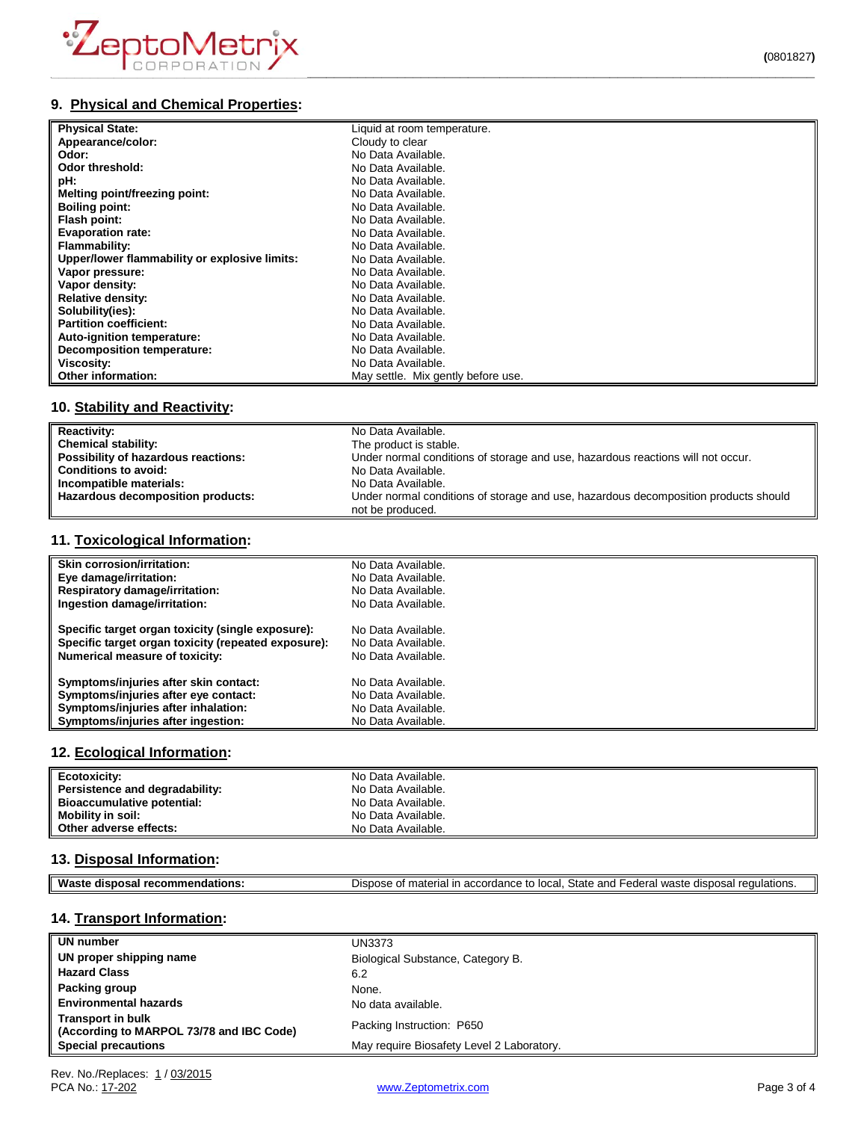

# **9. Physical and Chemical Properties:**

| <b>Physical State:</b>                        | Liquid at room temperature.        |
|-----------------------------------------------|------------------------------------|
| Appearance/color:                             | Cloudy to clear                    |
| Odor:                                         | No Data Available.                 |
| Odor threshold:                               | No Data Available.                 |
| pH:                                           | No Data Available.                 |
| Melting point/freezing point:                 | No Data Available.                 |
| <b>Boiling point:</b>                         | No Data Available.                 |
| Flash point:                                  | No Data Available.                 |
| <b>Evaporation rate:</b>                      | No Data Available.                 |
| Flammability:                                 | No Data Available.                 |
| Upper/lower flammability or explosive limits: | No Data Available.                 |
| Vapor pressure:                               | No Data Available.                 |
| Vapor density:                                | No Data Available.                 |
| <b>Relative density:</b>                      | No Data Available.                 |
| Solubility(ies):                              | No Data Available.                 |
| <b>Partition coefficient:</b>                 | No Data Available.                 |
| Auto-ignition temperature:                    | No Data Available.                 |
| <b>Decomposition temperature:</b>             | No Data Available.                 |
| Viscosity:                                    | No Data Available.                 |
| Other information:                            | May settle. Mix gently before use. |

# **10. Stability and Reactivity:**

| <b>Reactivity:</b>                  | No Data Available.                                                                                      |
|-------------------------------------|---------------------------------------------------------------------------------------------------------|
| Chemical stability:                 | The product is stable.                                                                                  |
| Possibility of hazardous reactions: | Under normal conditions of storage and use, hazardous reactions will not occur.                         |
| <b>Conditions to avoid:</b>         | No Data Available.                                                                                      |
| Incompatible materials:             | No Data Available.                                                                                      |
| Hazardous decomposition products:   | Under normal conditions of storage and use, hazardous decomposition products should<br>not be produced. |

## **11. Toxicological Information:**

| <b>Skin corrosion/irritation:</b>                   | No Data Available. |
|-----------------------------------------------------|--------------------|
| Eye damage/irritation:                              | No Data Available. |
| <b>Respiratory damage/irritation:</b>               | No Data Available. |
| Ingestion damage/irritation:                        | No Data Available. |
| Specific target organ toxicity (single exposure):   | No Data Available. |
| Specific target organ toxicity (repeated exposure): | No Data Available. |
| <b>Numerical measure of toxicity:</b>               | No Data Available. |
| Symptoms/injuries after skin contact:               | No Data Available. |
| Symptoms/injuries after eye contact:                | No Data Available. |
| Symptoms/injuries after inhalation:                 | No Data Available. |
| Symptoms/injuries after ingestion:                  | No Data Available. |

### **12. Ecological Information:**

| Ecotoxicity:                      | No Data Available. |
|-----------------------------------|--------------------|
| Persistence and degradability:    | No Data Available. |
| <b>Bioaccumulative potential:</b> | No Data Available. |
| Mobility in soil:                 | No Data Available. |
| Other adverse effects:            | No Data Available. |

### **13. Disposal Information:**

| ML<br>oв.<br>50<br>- - | State<br>and<br>local<br>100<br>- -<br>$\overline{a}$<br>- 스<br>י הווה<br>.00<br>,,,<br>. Ir<br>~<br>$\epsilon$<br>.ore<br>$\overline{\phantom{a}}$<br>$\sim$<br>ы.<br>-<br>.107<br>৴౹៶<br>วเเ<br><b>EULDI</b> 13.<br>.<br>. . |
|------------------------|--------------------------------------------------------------------------------------------------------------------------------------------------------------------------------------------------------------------------------|
|                        |                                                                                                                                                                                                                                |

# **14. Transport Information:**

| UN number                                                            | UN3373                                    |
|----------------------------------------------------------------------|-------------------------------------------|
| UN proper shipping name                                              | Biological Substance, Category B.         |
| <b>Hazard Class</b>                                                  | 6.2                                       |
| Packing group                                                        | None.                                     |
| <b>Environmental hazards</b>                                         | No data available.                        |
| <b>Transport in bulk</b><br>(According to MARPOL 73/78 and IBC Code) | Packing Instruction: P650                 |
| <b>Special precautions</b>                                           | May require Biosafety Level 2 Laboratory. |